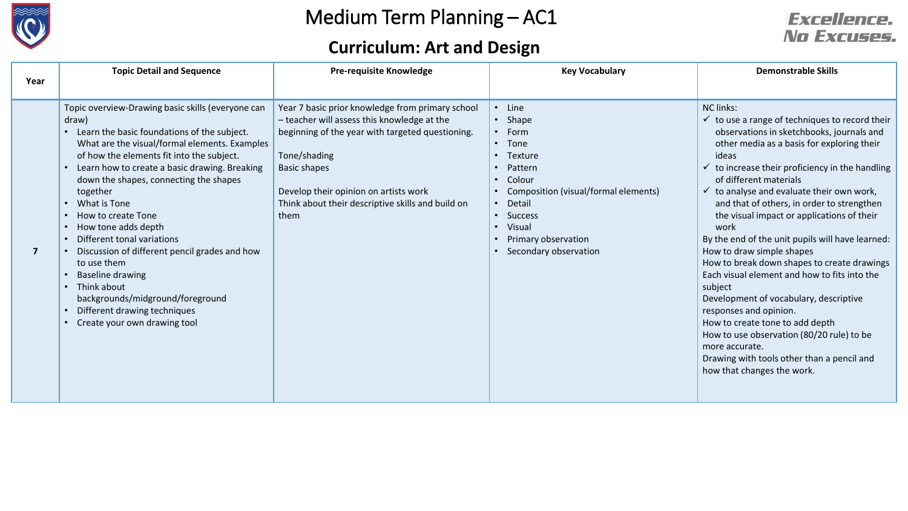

## **Curriculum: Art and Design**



| Year | <b>Topic Detail and Sequence</b>                                                                                                                                                                                                                                                                                                                                                                                                                                                                                                                                                                                        | <b>Pre-requisite Knowledge</b>                                                                                                                                                                                                                                                                   | <b>Key Vocabulary</b>                                                                                                                                                                                          | <b>Demonstrable Skills</b>                                                                                                                                                                                                                                                                                                                                                                                                                                                                                                                                                                                                                                                                                                                                                                                                                                                            |
|------|-------------------------------------------------------------------------------------------------------------------------------------------------------------------------------------------------------------------------------------------------------------------------------------------------------------------------------------------------------------------------------------------------------------------------------------------------------------------------------------------------------------------------------------------------------------------------------------------------------------------------|--------------------------------------------------------------------------------------------------------------------------------------------------------------------------------------------------------------------------------------------------------------------------------------------------|----------------------------------------------------------------------------------------------------------------------------------------------------------------------------------------------------------------|---------------------------------------------------------------------------------------------------------------------------------------------------------------------------------------------------------------------------------------------------------------------------------------------------------------------------------------------------------------------------------------------------------------------------------------------------------------------------------------------------------------------------------------------------------------------------------------------------------------------------------------------------------------------------------------------------------------------------------------------------------------------------------------------------------------------------------------------------------------------------------------|
|      |                                                                                                                                                                                                                                                                                                                                                                                                                                                                                                                                                                                                                         |                                                                                                                                                                                                                                                                                                  |                                                                                                                                                                                                                |                                                                                                                                                                                                                                                                                                                                                                                                                                                                                                                                                                                                                                                                                                                                                                                                                                                                                       |
| 7    | Topic overview-Drawing basic skills (everyone can<br>draw)<br>Learn the basic foundations of the subject.<br>What are the visual/formal elements. Examples<br>of how the elements fit into the subject.<br>Learn how to create a basic drawing. Breaking<br>down the shapes, connecting the shapes<br>together<br>What is Tone<br>How to create Tone<br>How tone adds depth<br>Different tonal variations<br>Discussion of different pencil grades and how<br>to use them<br><b>Baseline drawing</b><br>Think about<br>backgrounds/midground/foreground<br>Different drawing techniques<br>Create your own drawing tool | Year 7 basic prior knowledge from primary school<br>- teacher will assess this knowledge at the<br>beginning of the year with targeted questioning.<br>Tone/shading<br><b>Basic shapes</b><br>Develop their opinion on artists work<br>Think about their descriptive skills and build on<br>them | • Line<br>$\cdot$ Shape<br>$\cdot$ Form<br>• Tone<br>Texture<br>Pattern<br>Colour<br>Composition (visual/formal elements)<br>• Detail<br>• Success<br>• Visual<br>Primary observation<br>Secondary observation | <b>NC links:</b><br>$\checkmark$ to use a range of techniques to record their<br>observations in sketchbooks, journals and<br>other media as a basis for exploring their<br>ideas<br>to increase their proficiency in the handling<br>$\checkmark$<br>of different materials<br>$\checkmark$ to analyse and evaluate their own work,<br>and that of others, in order to strengthen<br>the visual impact or applications of their<br>work<br>By the end of the unit pupils will have learned:<br>How to draw simple shapes<br>How to break down shapes to create drawings<br>Each visual element and how to fits into the<br>subject<br>Development of vocabulary, descriptive<br>responses and opinion.<br>How to create tone to add depth<br>How to use observation (80/20 rule) to be<br>more accurate.<br>Drawing with tools other than a pencil and<br>how that changes the work. |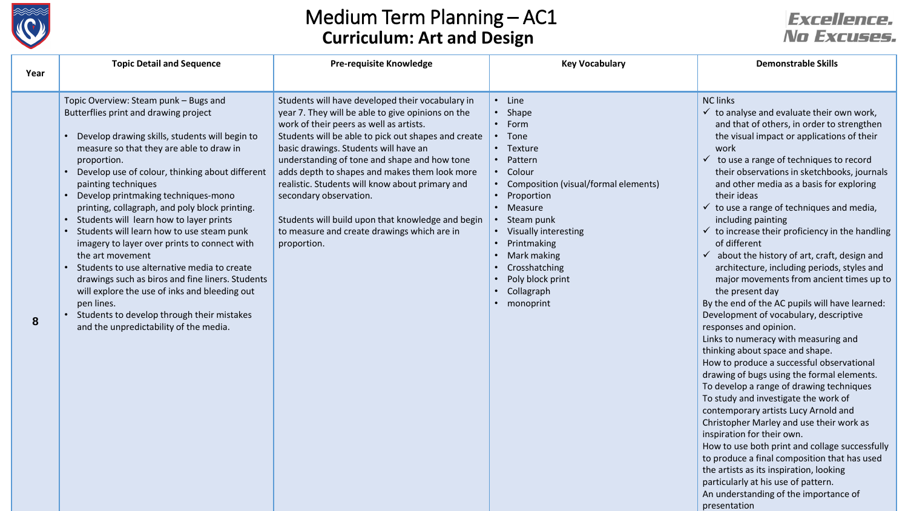

## Medium Term Planning – AC1 **Curriculum: Art and Design**

### **Excellence.** No Excuses.

particularly at his use of pattern. An understanding of the importance of

presentation

| Year | <b>Topic Detail and Sequence</b>                                                                                                                                                                                                                                                                                                                                                                                                                                                                                                                                                                                                                                                                                                                                                                                            | <b>Pre-requisite Knowledge</b>                                                                                                                                                                                                                                                                                                                                                                                                                                                                                                                    | <b>Key Vocabulary</b>                                                                                                                                                                                                                                                                  | <b>Demonstrable Skills</b>                                                                                                                                                                                                                                                                                                                                                                                                                                                                                                                                                                                                                                                                                                                                                                                                                                                                                                                                                                                                                                                                                                                                                                                                                                                                                                        |
|------|-----------------------------------------------------------------------------------------------------------------------------------------------------------------------------------------------------------------------------------------------------------------------------------------------------------------------------------------------------------------------------------------------------------------------------------------------------------------------------------------------------------------------------------------------------------------------------------------------------------------------------------------------------------------------------------------------------------------------------------------------------------------------------------------------------------------------------|---------------------------------------------------------------------------------------------------------------------------------------------------------------------------------------------------------------------------------------------------------------------------------------------------------------------------------------------------------------------------------------------------------------------------------------------------------------------------------------------------------------------------------------------------|----------------------------------------------------------------------------------------------------------------------------------------------------------------------------------------------------------------------------------------------------------------------------------------|-----------------------------------------------------------------------------------------------------------------------------------------------------------------------------------------------------------------------------------------------------------------------------------------------------------------------------------------------------------------------------------------------------------------------------------------------------------------------------------------------------------------------------------------------------------------------------------------------------------------------------------------------------------------------------------------------------------------------------------------------------------------------------------------------------------------------------------------------------------------------------------------------------------------------------------------------------------------------------------------------------------------------------------------------------------------------------------------------------------------------------------------------------------------------------------------------------------------------------------------------------------------------------------------------------------------------------------|
| 8    | Topic Overview: Steam punk - Bugs and<br>Butterflies print and drawing project<br>Develop drawing skills, students will begin to<br>measure so that they are able to draw in<br>proportion.<br>Develop use of colour, thinking about different<br>painting techniques<br>Develop printmaking techniques-mono<br>printing, collagraph, and poly block printing.<br>Students will learn how to layer prints<br>$\bullet$<br>Students will learn how to use steam punk<br>$\bullet$<br>imagery to layer over prints to connect with<br>the art movement<br>Students to use alternative media to create<br>drawings such as biros and fine liners. Students<br>will explore the use of inks and bleeding out<br>pen lines.<br>Students to develop through their mistakes<br>$\bullet$<br>and the unpredictability of the media. | Students will have developed their vocabulary in<br>year 7. They will be able to give opinions on the<br>work of their peers as well as artists.<br>Students will be able to pick out shapes and create<br>basic drawings. Students will have an<br>understanding of tone and shape and how tone<br>adds depth to shapes and makes them look more<br>realistic. Students will know about primary and<br>secondary observation.<br>Students will build upon that knowledge and begin<br>to measure and create drawings which are in<br>proportion. | • Line<br>Shape<br>• Form<br>• Tone<br>• Texture<br>Pattern<br>• Colour<br>• Composition (visual/formal elements)<br>• Proportion<br>• Measure<br>Steam punk<br>• Visually interesting<br>Printmaking<br>Mark making<br>Crosshatching<br>Poly block print<br>Collagraph<br>• monoprint | <b>NC links</b><br>$\checkmark$ to analyse and evaluate their own work,<br>and that of others, in order to strengthen<br>the visual impact or applications of their<br>work<br>$\checkmark$ to use a range of techniques to record<br>their observations in sketchbooks, journals<br>and other media as a basis for exploring<br>their ideas<br>$\checkmark$ to use a range of techniques and media,<br>including painting<br>$\checkmark$ to increase their proficiency in the handling<br>of different<br>$\checkmark$ about the history of art, craft, design and<br>architecture, including periods, styles and<br>major movements from ancient times up to<br>the present day<br>By the end of the AC pupils will have learned:<br>Development of vocabulary, descriptive<br>responses and opinion.<br>Links to numeracy with measuring and<br>thinking about space and shape.<br>How to produce a successful observational<br>drawing of bugs using the formal elements.<br>To develop a range of drawing techniques<br>To study and investigate the work of<br>contemporary artists Lucy Arnold and<br>Christopher Marley and use their work as<br>inspiration for their own.<br>How to use both print and collage successfully<br>to produce a final composition that has used<br>the artists as its inspiration, looking |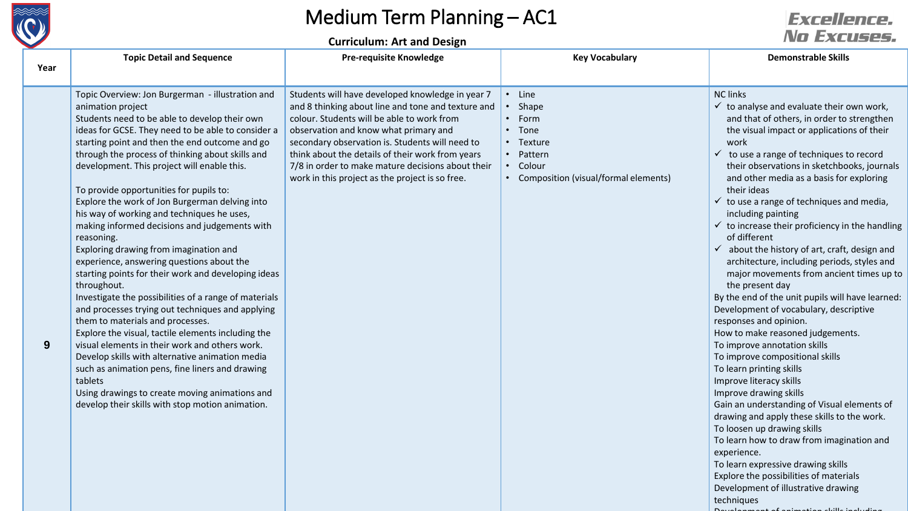

# Medium Term Planning – AC1

#### **Curriculum: Art and Design**

### **Excellence.** No Excuses.

Development of animation skills including

|             | <b>Topic Detail and Sequence</b>                                                                                                                                                                                                                                                                                                                                                                                                                                                                                                                                                                                                                                                                                                                                                                                                                                                                                                                                                                                                                                                                                                                                                         | <b>Pre-requisite Knowledge</b>                                                                                                                                                                                                                                                                                                                                                                               | <b>Key Vocabulary</b>                                                                                                 | <b>Demonstrable Skills</b>                                                                                                                                                                                                                                                                                                                                                                                                                                                                                                                                                                                                                                                                                                                                                                                                                                                                                                                                                                                                                                                                                                                                                                                                                                                                                                          |
|-------------|------------------------------------------------------------------------------------------------------------------------------------------------------------------------------------------------------------------------------------------------------------------------------------------------------------------------------------------------------------------------------------------------------------------------------------------------------------------------------------------------------------------------------------------------------------------------------------------------------------------------------------------------------------------------------------------------------------------------------------------------------------------------------------------------------------------------------------------------------------------------------------------------------------------------------------------------------------------------------------------------------------------------------------------------------------------------------------------------------------------------------------------------------------------------------------------|--------------------------------------------------------------------------------------------------------------------------------------------------------------------------------------------------------------------------------------------------------------------------------------------------------------------------------------------------------------------------------------------------------------|-----------------------------------------------------------------------------------------------------------------------|-------------------------------------------------------------------------------------------------------------------------------------------------------------------------------------------------------------------------------------------------------------------------------------------------------------------------------------------------------------------------------------------------------------------------------------------------------------------------------------------------------------------------------------------------------------------------------------------------------------------------------------------------------------------------------------------------------------------------------------------------------------------------------------------------------------------------------------------------------------------------------------------------------------------------------------------------------------------------------------------------------------------------------------------------------------------------------------------------------------------------------------------------------------------------------------------------------------------------------------------------------------------------------------------------------------------------------------|
| Year        |                                                                                                                                                                                                                                                                                                                                                                                                                                                                                                                                                                                                                                                                                                                                                                                                                                                                                                                                                                                                                                                                                                                                                                                          |                                                                                                                                                                                                                                                                                                                                                                                                              |                                                                                                                       |                                                                                                                                                                                                                                                                                                                                                                                                                                                                                                                                                                                                                                                                                                                                                                                                                                                                                                                                                                                                                                                                                                                                                                                                                                                                                                                                     |
| $9^{\circ}$ | Topic Overview: Jon Burgerman - illustration and<br>animation project<br>Students need to be able to develop their own<br>ideas for GCSE. They need to be able to consider a<br>starting point and then the end outcome and go<br>through the process of thinking about skills and<br>development. This project will enable this.<br>To provide opportunities for pupils to:<br>Explore the work of Jon Burgerman delving into<br>his way of working and techniques he uses,<br>making informed decisions and judgements with<br>reasoning.<br>Exploring drawing from imagination and<br>experience, answering questions about the<br>starting points for their work and developing ideas<br>throughout.<br>Investigate the possibilities of a range of materials<br>and processes trying out techniques and applying<br>them to materials and processes.<br>Explore the visual, tactile elements including the<br>visual elements in their work and others work.<br>Develop skills with alternative animation media<br>such as animation pens, fine liners and drawing<br>tablets<br>Using drawings to create moving animations and<br>develop their skills with stop motion animation. | Students will have developed knowledge in year 7<br>and 8 thinking about line and tone and texture and<br>colour. Students will be able to work from<br>observation and know what primary and<br>secondary observation is. Students will need to<br>think about the details of their work from years<br>7/8 in order to make mature decisions about their<br>work in this project as the project is so free. | • Line<br>• Shape<br>• Form<br>• Tone<br>• Texture<br>• Pattern<br>• Colour<br>• Composition (visual/formal elements) | <b>NC links</b><br>$\checkmark$ to analyse and evaluate their own work,<br>and that of others, in order to strengthen<br>the visual impact or applications of their<br>work<br>$\checkmark$<br>to use a range of techniques to record<br>their observations in sketchbooks, journals<br>and other media as a basis for exploring<br>their ideas<br>$\checkmark$ to use a range of techniques and media,<br>including painting<br>$\checkmark$ to increase their proficiency in the handling<br>of different<br>$\checkmark$ about the history of art, craft, design and<br>architecture, including periods, styles and<br>major movements from ancient times up to<br>the present day<br>By the end of the unit pupils will have learned:<br>Development of vocabulary, descriptive<br>responses and opinion.<br>How to make reasoned judgements.<br>To improve annotation skills<br>To improve compositional skills<br>To learn printing skills<br>Improve literacy skills<br>Improve drawing skills<br>Gain an understanding of Visual elements of<br>drawing and apply these skills to the work.<br>To loosen up drawing skills<br>To learn how to draw from imagination and<br>experience.<br>To learn expressive drawing skills<br>Explore the possibilities of materials<br>Development of illustrative drawing<br>techniques |